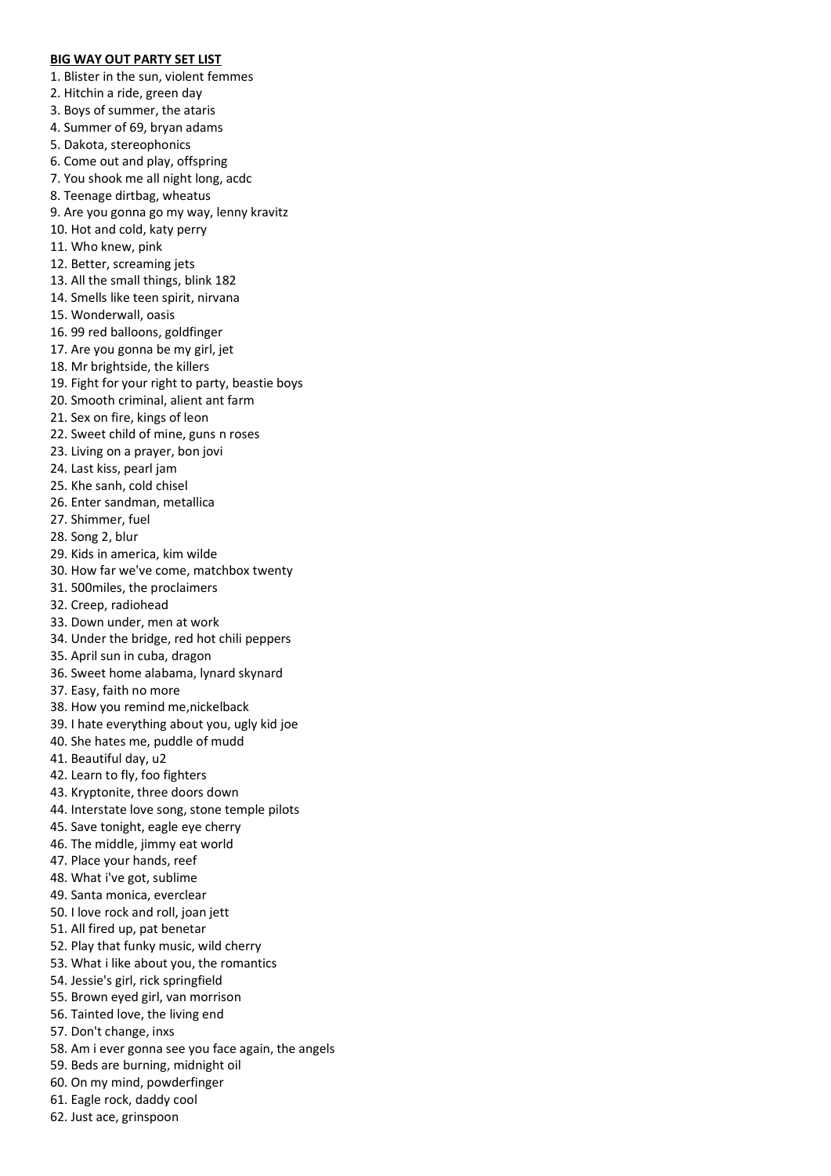## **BIG WAY OUT PARTY SET LIST**

1. Blister in the sun, violent femmes

- 2. Hitchin a ride, green day
- 3. Boys of summer, the ataris
- 4. Summer of 69, bryan adams
- 5. Dakota, stereophonics
- 6. Come out and play, offspring
- 7. You shook me all night long, acdc
- 8. Teenage dirtbag, wheatus
- 9. Are you gonna go my way, lenny kravitz
- 10. Hot and cold, katy perry
- 11. Who knew, pink
- 12. Better, screaming jets
- 13. All the small things, blink 182
- 14. Smells like teen spirit, nirvana
- 15. Wonderwall, oasis
- 16. 99 red balloons, goldfinger
- 17. Are you gonna be my girl, jet
- 18. Mr brightside, the killers
- 19. Fight for your right to party, beastie boys
- 20. Smooth criminal, alient ant farm
- 21. Sex on fire, kings of leon
- 22. Sweet child of mine, guns n roses
- 23. Living on a prayer, bon jovi
- 24. Last kiss, pearl jam
- 25. Khe sanh, cold chisel
- 26. Enter sandman, metallica
- 27. Shimmer, fuel
- 28. Song 2, blur
- 29. Kids in america, kim wilde
- 30. How far we've come, matchbox twenty
- 31. 500miles, the proclaimers
- 32. Creep, radiohead
- 33. Down under, men at work
- 34. Under the bridge, red hot chili peppers
- 35. April sun in cuba, dragon
- 36. Sweet home alabama, lynard skynard
- 37. Easy, faith no more
- 38. How you remind me,nickelback
- 39. I hate everything about you, ugly kid joe
- 40. She hates me, puddle of mudd
- 41. Beautiful day, u2
- 42. Learn to fly, foo fighters
- 43. Kryptonite, three doors down
- 44. Interstate love song, stone temple pilots
- 45. Save tonight, eagle eye cherry
- 46. The middle, jimmy eat world
- 47. Place your hands, reef
- 48. What i've got, sublime
- 49. Santa monica, everclear
- 50. I love rock and roll, joan jett
- 51. All fired up, pat benetar
- 52. Play that funky music, wild cherry
- 53. What i like about you, the romantics
- 54. Jessie's girl, rick springfield
- 55. Brown eyed girl, van morrison
- 56. Tainted love, the living end
- 57. Don't change, inxs
- 58. Am i ever gonna see you face again, the angels
- 59. Beds are burning, midnight oil
- 60. On my mind, powderfinger
- 61. Eagle rock, daddy cool
- 62. Just ace, grinspoon